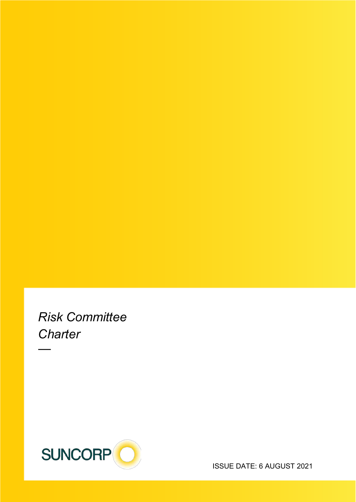*Risk Committee Charter*

—



ISSUE DATE: 6 AUGUST 2021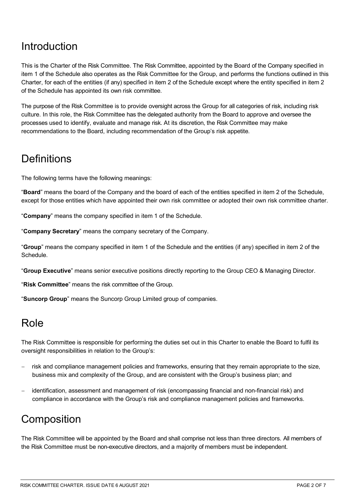## Introduction

This is the Charter of the Risk Committee. The Risk Committee, appointed by the Board of the Company specified in item 1 of the Schedule also operates as the Risk Committee for the Group, and performs the functions outlined in this Charter, for each of the entities (if any) specified in item 2 of the Schedule except where the entity specified in item 2 of the Schedule has appointed its own risk committee.

The purpose of the Risk Committee is to provide oversight across the Group for all categories of risk, including risk culture. In this role, the Risk Committee has the delegated authority from the Board to approve and oversee the processes used to identify, evaluate and manage risk. At its discretion, the Risk Committee may make recommendations to the Board, including recommendation of the Group's risk appetite.

#### **Definitions**

The following terms have the following meanings:

"**Board**" means the board of the Company and the board of each of the entities specified in item 2 of the Schedule, except for those entities which have appointed their own risk committee or adopted their own risk committee charter.

"**Company**" means the company specified in item 1 of the Schedule.

"**Company Secretary**" means the company secretary of the Company.

"**Group**" means the company specified in item 1 of the Schedule and the entities (if any) specified in item 2 of the Schedule.

"**Group Executive**" means senior executive positions directly reporting to the Group CEO & Managing Director.

"**Risk Committee**" means the risk committee of the Group.

"**Suncorp Group**" means the Suncorp Group Limited group of companies.

#### Role

The Risk Committee is responsible for performing the duties set out in this Charter to enable the Board to fulfil its oversight responsibilities in relation to the Group's:

- risk and compliance management policies and frameworks, ensuring that they remain appropriate to the size, business mix and complexity of the Group, and are consistent with the Group's business plan; and
- identification, assessment and management of risk (encompassing financial and non-financial risk) and compliance in accordance with the Group's risk and compliance management policies and frameworks.

## **Composition**

The Risk Committee will be appointed by the Board and shall comprise not less than three directors. All members of the Risk Committee must be non-executive directors, and a majority of members must be independent.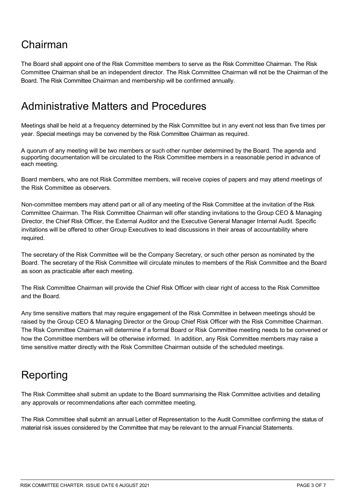# Chairman

The Board shall appoint one of the Risk Committee members to serve as the Risk Committee Chairman. The Risk Committee Chairman shall be an independent director. The Risk Committee Chairman will not be the Chairman of the Board. The Risk Committee Chairman and membership will be confirmed annually.

#### Administrative Matters and Procedures

Meetings shall be held at a frequency determined by the Risk Committee but in any event not less than five times per year. Special meetings may be convened by the Risk Committee Chairman as required.

A quorum of any meeting will be two members or such other number determined by the Board. The agenda and supporting documentation will be circulated to the Risk Committee members in a reasonable period in advance of each meeting.

Board members, who are not Risk Committee members, will receive copies of papers and may attend meetings of the Risk Committee as observers.

Non-committee members may attend part or all of any meeting of the Risk Committee at the invitation of the Risk Committee Chairman. The Risk Committee Chairman will offer standing invitations to the Group CEO & Managing Director, the Chief Risk Officer, the External Auditor and the Executive General Manager Internal Audit. Specific invitations will be offered to other Group Executives to lead discussions in their areas of accountability where required.

The secretary of the Risk Committee will be the Company Secretary, or such other person as nominated by the Board. The secretary of the Risk Committee will circulate minutes to members of the Risk Committee and the Board as soon as practicable after each meeting.

The Risk Committee Chairman will provide the Chief Risk Officer with clear right of access to the Risk Committee and the Board.

Any time sensitive matters that may require engagement of the Risk Committee in between meetings should be raised by the Group CEO & Managing Director or the Group Chief Risk Officer with the Risk Committee Chairman. The Risk Committee Chairman will determine if a formal Board or Risk Committee meeting needs to be convened or how the Committee members will be otherwise informed. In addition, any Risk Committee members may raise a time sensitive matter directly with the Risk Committee Chairman outside of the scheduled meetings.

## **Reporting**

The Risk Committee shall submit an update to the Board summarising the Risk Committee activities and detailing any approvals or recommendations after each committee meeting.

The Risk Committee shall submit an annual Letter of Representation to the Audit Committee confirming the status of material risk issues considered by the Committee that may be relevant to the annual Financial Statements.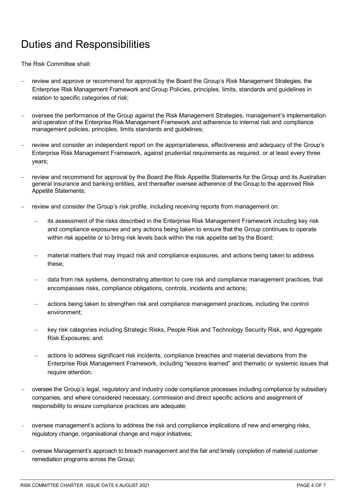## Duties and Responsibilities

The Risk Committee shall:

- review and approve or recommend for approval by the Board the Group's Risk Management Strategies, the Enterprise Risk Management Framework and Group Policies, principles, limits, standards and guidelines in relation to specific categories of risk;
- − oversee the performance of the Group against the Risk Management Strategies, management's implementation and operation of the Enterprise Risk Management Framework and adherence to internal risk and compliance management policies, principles, limits standards and guidelines;
- − review and consider an independent report on the appropriateness, effectiveness and adequacy of the Group's Enterprise Risk Management Framework, against prudential requirements as required, or at least every three years;
- review and recommend for approval by the Board the Risk Appetite Statements for the Group and its Australian general insurance and banking entities, and thereafter oversee adherence of the Group to the approved Risk Appetite Statements;
- review and consider the Group's risk profile, including receiving reports from management on:
	- − its assessment of the risks described in the Enterprise Risk Management Framework including key risk and compliance exposures and any actions being taken to ensure that the Group continues to operate within risk appetite or to bring risk levels back within the risk appetite set by the Board;
	- material matters that may impact risk and compliance exposures, and actions being taken to address these;
	- − data from risk systems, demonstrating attention to core risk and compliance management practices, that encompasses risks, compliance obligations, controls, incidents and actions;
	- actions being taken to strengthen risk and compliance management practices, including the control environment;
	- − key risk categories including Strategic Risks, People Risk and Technology Security Risk, and Aggregate Risk Exposures; and
	- actions to address significant risk incidents, compliance breaches and material deviations from the Enterprise Risk Management Framework, including "lessons learned" and thematic or systemic issues that require attention.
- − oversee the Group's legal, regulatory and industry code compliance processes including compliance by subsidiary companies, and where considered necessary, commission and direct specific actions and assignment of responsibility to ensure compliance practices are adequate;
- − oversee management's actions to address the risk and compliance implications of new and emerging risks, regulatory change, organisational change and major initiatives;
- − oversee Management's approach to breach management and the fair and timely completion of material customer remediation programs across the Group;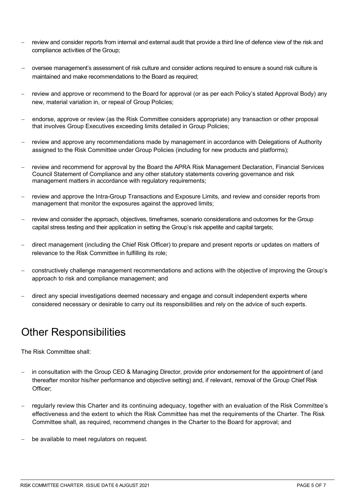- review and consider reports from internal and external audit that provide a third line of defence view of the risk and compliance activities of the Group;
- − oversee management's assessment of risk culture and consider actions required to ensure a sound risk culture is maintained and make recommendations to the Board as required;
- − review and approve or recommend to the Board for approval (or as per each Policy's stated Approval Body) any new, material variation in, or repeal of Group Policies;
- − endorse, approve or review (as the Risk Committee considers appropriate) any transaction or other proposal that involves Group Executives exceeding limits detailed in Group Policies;
- review and approve any recommendations made by management in accordance with Delegations of Authority assigned to the Risk Committee under Group Policies (including for new products and platforms);
- review and recommend for approval by the Board the APRA Risk Management Declaration, Financial Services Council Statement of Compliance and any other statutory statements covering governance and risk management matters in accordance with regulatory requirements;
- review and approve the Intra-Group Transactions and Exposure Limits, and review and consider reports from management that monitor the exposures against the approved limits;
- review and consider the approach, objectives, timeframes, scenario considerations and outcomes for the Group capital stress testing and their application in setting the Group's risk appetite and capital targets;
- − direct management (including the Chief Risk Officer) to prepare and present reports or updates on matters of relevance to the Risk Committee in fulfilling its role;
- − constructively challenge management recommendations and actions with the objective of improving the Group's approach to risk and compliance management; and
- direct any special investigations deemed necessary and engage and consult independent experts where considered necessary or desirable to carry out its responsibilities and rely on the advice of such experts.

## Other Responsibilities

The Risk Committee shall:

- in consultation with the Group CEO & Managing Director, provide prior endorsement for the appointment of (and thereafter monitor his/her performance and objective setting) and, if relevant, removal of the Group Chief Risk Officer;
- − regularly review this Charter and its continuing adequacy, together with an evaluation of the Risk Committee's effectiveness and the extent to which the Risk Committee has met the requirements of the Charter. The Risk Committee shall, as required, recommend changes in the Charter to the Board for approval; and
- be available to meet regulators on request.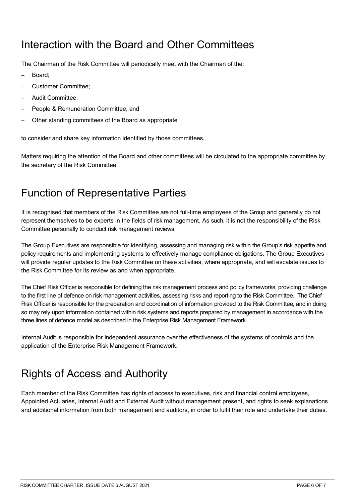#### Interaction with the Board and Other Committees

The Chairman of the Risk Committee will periodically meet with the Chairman of the:

- Board:
- − Customer Committee;
- − Audit Committee;
- − People & Remuneration Committee; and
- Other standing committees of the Board as appropriate

to consider and share key information identified by those committees.

Matters requiring the attention of the Board and other committees will be circulated to the appropriate committee by the secretary of the Risk Committee.

## Function of Representative Parties

It is recognised that members of the Risk Committee are not full-time employees of the Group and generally do not represent themselves to be experts in the fields of risk management. As such, it is not the responsibility of the Risk Committee personally to conduct risk management reviews.

The Group Executives are responsible for identifying, assessing and managing risk within the Group's risk appetite and policy requirements and implementing systems to effectively manage compliance obligations. The Group Executives will provide regular updates to the Risk Committee on these activities, where appropriate, and will escalate issues to the Risk Committee for its review as and when appropriate.

The Chief Risk Officer is responsible for defining the risk management process and policy frameworks, providing challenge to the first line of defence on risk management activities, assessing risks and reporting to the Risk Committee. The Chief Risk Officer is responsible for the preparation and coordination of information provided to the Risk Committee, and in doing so may rely upon information contained within risk systems and reports prepared by management in accordance with the three lines of defence model as described in the Enterprise Risk Management Framework.

Internal Audit is responsible for independent assurance over the effectiveness of the systems of controls and the application of the Enterprise Risk Management Framework.

# Rights of Access and Authority

Each member of the Risk Committee has rights of access to executives, risk and financial control employees, Appointed Actuaries, Internal Audit and External Audit without management present, and rights to seek explanations and additional information from both management and auditors, in order to fulfil their role and undertake their duties.